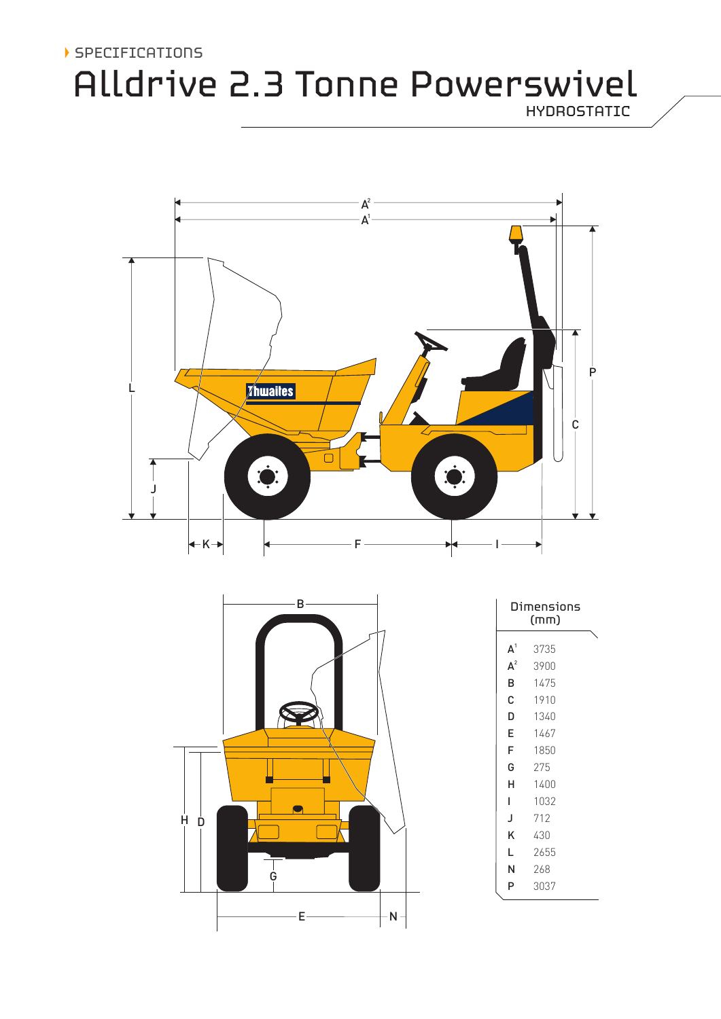## SPECIFICATIONS

# Alldrive 2.3 Tonne Powerswivel

HYDROSTATIC





| Dimensions<br>(mm) |      |  |
|--------------------|------|--|
| A <sup>1</sup>     | 3735 |  |
| $A^2$              | 3900 |  |
| B                  | 1475 |  |
| Ć                  | 1910 |  |
| D                  | 1340 |  |
| E                  | 1467 |  |
| F                  | 1850 |  |
| G                  | 275  |  |
| н                  | 1400 |  |
| L                  | 1032 |  |
| J                  | 712  |  |
| Κ                  | 430  |  |
| L                  | 2655 |  |
| Ν                  | 268  |  |
| P                  | 3037 |  |